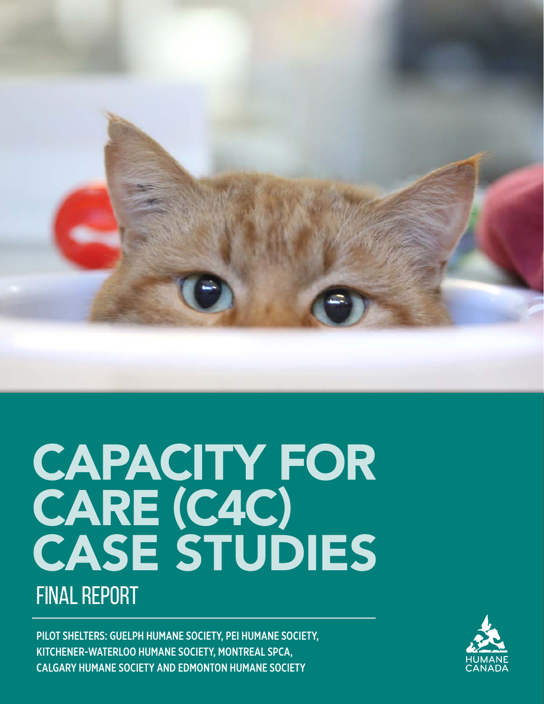

# CAPACITY FOR CARE (C4C) CASE STUDIES FINAL REPORT

PILOT SHELTERS: GUELPH HUMANE SOCIETY, PEI HUMANE SOCIETY, KITCHENER-WATERLOO HUMANE SOCIETY, MONTREAL SPCA, CALGARY HUMANE SOCIETY AND EDMONTON HUMANE SOCIETY

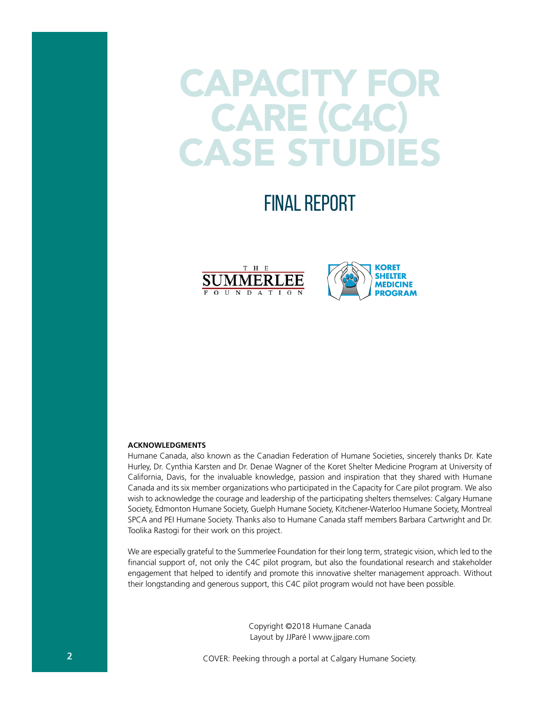## CAPACITY FOR CARE (C4C) CASE STUDIES

### FINAL REPORT



#### **ACKNOWLEDGMENTS**

Humane Canada, also known as the Canadian Federation of Humane Societies, sincerely thanks Dr. Kate Hurley, Dr. Cynthia Karsten and Dr. Denae Wagner of the Koret Shelter Medicine Program at University of California, Davis, for the invaluable knowledge, passion and inspiration that they shared with Humane Canada and its six member organizations who participated in the Capacity for Care pilot program. We also wish to acknowledge the courage and leadership of the participating shelters themselves: Calgary Humane Society, Edmonton Humane Society, Guelph Humane Society, Kitchener-Waterloo Humane Society, Montreal SPCA and PEI Humane Society. Thanks also to Humane Canada staff members Barbara Cartwright and Dr. Toolika Rastogi for their work on this project.

We are especially grateful to the Summerlee Foundation for their long term, strategic vision, which led to the financial support of, not only the C4C pilot program, but also the foundational research and stakeholder engagement that helped to identify and promote this innovative shelter management approach. Without their longstanding and generous support, this C4C pilot program would not have been possible.

> Copyright ©2018 Humane Canada Layout by JJParé | www.jjpare.com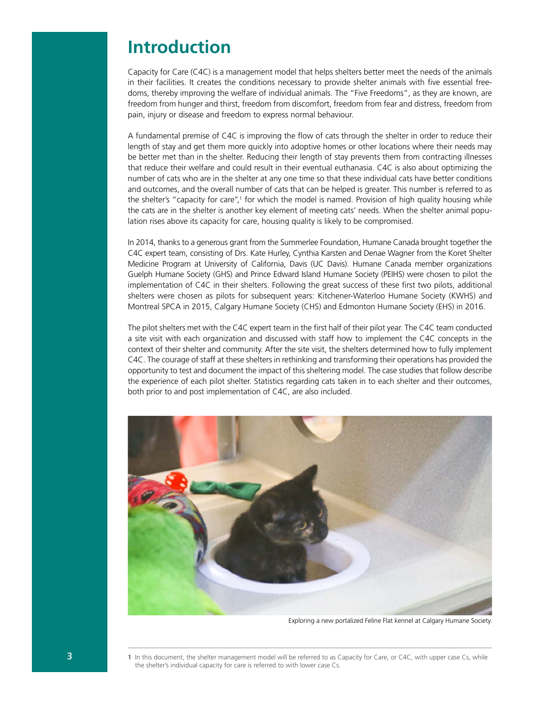### **Introduction**

Capacity for Care (C4C) is a management model that helps shelters better meet the needs of the animals in their facilities. It creates the conditions necessary to provide shelter animals with five essential freedoms, thereby improving the welfare of individual animals. The "Five Freedoms", as they are known, are freedom from hunger and thirst, freedom from discomfort, freedom from fear and distress, freedom from pain, injury or disease and freedom to express normal behaviour.

A fundamental premise of C4C is improving the flow of cats through the shelter in order to reduce their length of stay and get them more quickly into adoptive homes or other locations where their needs may be better met than in the shelter. Reducing their length of stay prevents them from contracting illnesses that reduce their welfare and could result in their eventual euthanasia. C4C is also about optimizing the number of cats who are in the shelter at any one time so that these individual cats have better conditions and outcomes, and the overall number of cats that can be helped is greater. This number is referred to as the shelter's "capacity for care",<sup>1</sup> for which the model is named. Provision of high quality housing while the cats are in the shelter is another key element of meeting cats' needs. When the shelter animal population rises above its capacity for care, housing quality is likely to be compromised.

In 2014, thanks to a generous grant from the Summerlee Foundation, Humane Canada brought together the C4C expert team, consisting of Drs. Kate Hurley, Cynthia Karsten and Denae Wagner from the Koret Shelter Medicine Program at University of California, Davis (UC Davis). Humane Canada member organizations Guelph Humane Society (GHS) and Prince Edward Island Humane Society (PEIHS) were chosen to pilot the implementation of C4C in their shelters. Following the great success of these first two pilots, additional shelters were chosen as pilots for subsequent years: Kitchener-Waterloo Humane Society (KWHS) and Montreal SPCA in 2015, Calgary Humane Society (CHS) and Edmonton Humane Society (EHS) in 2016.

The pilot shelters met with the C4C expert team in the first half of their pilot year. The C4C team conducted a site visit with each organization and discussed with staff how to implement the C4C concepts in the context of their shelter and community. After the site visit, the shelters determined how to fully implement C4C. The courage of staff at these shelters in rethinking and transforming their operations has provided the opportunity to test and document the impact of this sheltering model. The case studies that follow describe the experience of each pilot shelter. Statistics regarding cats taken in to each shelter and their outcomes, both prior to and post implementation of C4C, are also included.



Exploring a new portalized Feline Flat kennel at Calgary Humane Society.

**1** In this document, the shelter management model will be referred to as Capacity for Care, or C4C, with upper case Cs, while the shelter's individual capacity for care is referred to with lower case Cs.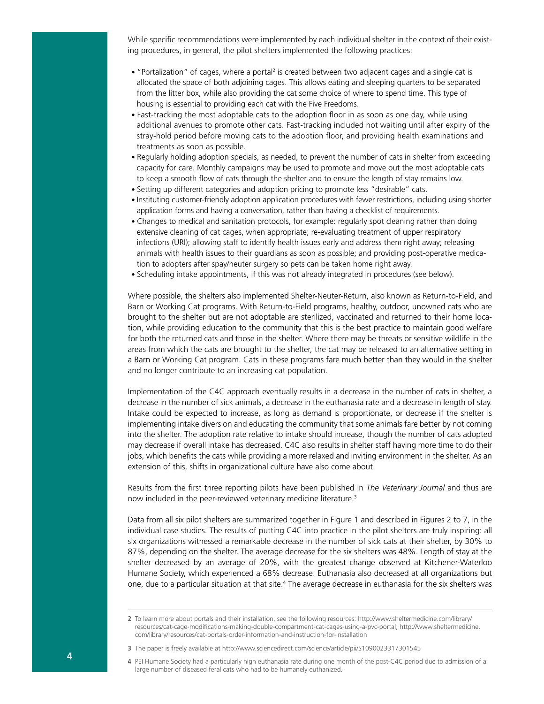While specific recommendations were implemented by each individual shelter in the context of their existing procedures, in general, the pilot shelters implemented the following practices:

- "Portalization" of cages, where a portal<sup>2</sup> is created between two adjacent cages and a single cat is allocated the space of both adjoining cages. This allows eating and sleeping quarters to be separated from the litter box, while also providing the cat some choice of where to spend time. This type of housing is essential to providing each cat with the Five Freedoms.
- Fast-tracking the most adoptable cats to the adoption floor in as soon as one day, while using additional avenues to promote other cats. Fast-tracking included not waiting until after expiry of the stray-hold period before moving cats to the adoption floor, and providing health examinations and treatments as soon as possible.
- Regularly holding adoption specials, as needed, to prevent the number of cats in shelter from exceeding capacity for care. Monthly campaigns may be used to promote and move out the most adoptable cats to keep a smooth flow of cats through the shelter and to ensure the length of stay remains low.
- Setting up different categories and adoption pricing to promote less "desirable" cats.
- Instituting customer-friendly adoption application procedures with fewer restrictions, including using shorter application forms and having a conversation, rather than having a checklist of requirements.
- Changes to medical and sanitation protocols, for example: regularly spot cleaning rather than doing extensive cleaning of cat cages, when appropriate; re-evaluating treatment of upper respiratory infections (URI); allowing staff to identify health issues early and address them right away; releasing animals with health issues to their guardians as soon as possible; and providing post-operative medication to adopters after spay/neuter surgery so pets can be taken home right away.
- Scheduling intake appointments, if this was not already integrated in procedures (see below).

Where possible, the shelters also implemented Shelter-Neuter-Return, also known as Return-to-Field, and Barn or Working Cat programs. With Return-to-Field programs, healthy, outdoor, unowned cats who are brought to the shelter but are not adoptable are sterilized, vaccinated and returned to their home location, while providing education to the community that this is the best practice to maintain good welfare for both the returned cats and those in the shelter. Where there may be threats or sensitive wildlife in the areas from which the cats are brought to the shelter, the cat may be released to an alternative setting in a Barn or Working Cat program. Cats in these programs fare much better than they would in the shelter and no longer contribute to an increasing cat population.

Implementation of the C4C approach eventually results in a decrease in the number of cats in shelter, a decrease in the number of sick animals, a decrease in the euthanasia rate and a decrease in length of stay. Intake could be expected to increase, as long as demand is proportionate, or decrease if the shelter is implementing intake diversion and educating the community that some animals fare better by not coming into the shelter. The adoption rate relative to intake should increase, though the number of cats adopted may decrease if overall intake has decreased. C4C also results in shelter staff having more time to do their jobs, which benefits the cats while providing a more relaxed and inviting environment in the shelter. As an extension of this, shifts in organizational culture have also come about.

Results from the first three reporting pilots have been published in *The Veterinary Journal* and thus are now included in the peer-reviewed veterinary medicine literature.3

Data from all six pilot shelters are summarized together in Figure 1 and described in Figures 2 to 7, in the individual case studies. The results of putting C4C into practice in the pilot shelters are truly inspiring: all six organizations witnessed a remarkable decrease in the number of sick cats at their shelter, by 30% to 87%, depending on the shelter. The average decrease for the six shelters was 48%. Length of stay at the shelter decreased by an average of 20%, with the greatest change observed at Kitchener-Waterloo Humane Society, which experienced a 68% decrease. Euthanasia also decreased at all organizations but one, due to a particular situation at that site.4 The average decrease in euthanasia for the six shelters was

**<sup>2</sup>** To learn more about portals and their installation, see the following resources: http://www.sheltermedicine.com/library/ resources/cat-cage-modifications-making-double-compartment-cat-cages-using-a-pvc-portal; http://www.sheltermedicine. com/library/resources/cat-portals-order-information-and-instruction-for-installation

**<sup>3</sup>** The paper is freely available at http://www.sciencedirect.com/science/article/pii/S1090023317301545

**<sup>4</sup>** PEI Humane Society had a particularly high euthanasia rate during one month of the post-C4C period due to admission of a large number of diseased feral cats who had to be humanely euthanized.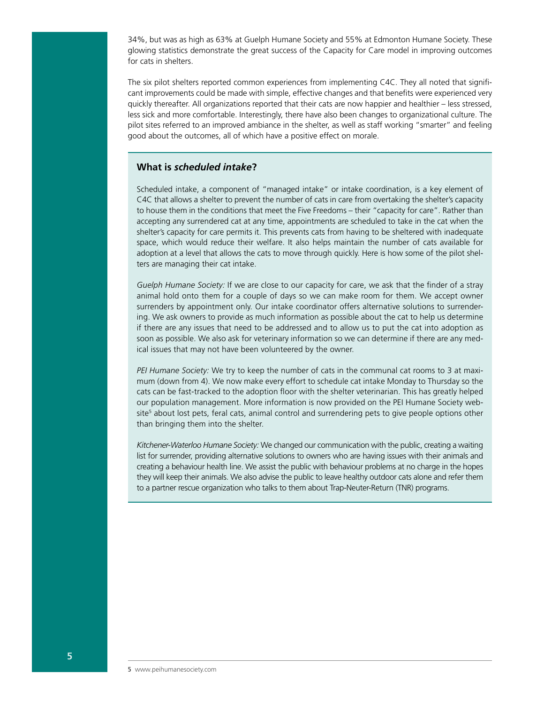34%, but was as high as 63% at Guelph Humane Society and 55% at Edmonton Humane Society. These glowing statistics demonstrate the great success of the Capacity for Care model in improving outcomes for cats in shelters.

The six pilot shelters reported common experiences from implementing C4C. They all noted that significant improvements could be made with simple, effective changes and that benefits were experienced very quickly thereafter. All organizations reported that their cats are now happier and healthier – less stressed, less sick and more comfortable. Interestingly, there have also been changes to organizational culture. The pilot sites referred to an improved ambiance in the shelter, as well as staff working "smarter" and feeling good about the outcomes, all of which have a positive effect on morale.

#### **What is** *scheduled intake***?**

Scheduled intake, a component of "managed intake" or intake coordination, is a key element of C4C that allows a shelter to prevent the number of cats in care from overtaking the shelter's capacity to house them in the conditions that meet the Five Freedoms – their "capacity for care". Rather than accepting any surrendered cat at any time, appointments are scheduled to take in the cat when the shelter's capacity for care permits it. This prevents cats from having to be sheltered with inadequate space, which would reduce their welfare. It also helps maintain the number of cats available for adoption at a level that allows the cats to move through quickly. Here is how some of the pilot shelters are managing their cat intake.

*Guelph Humane Society:* If we are close to our capacity for care, we ask that the finder of a stray animal hold onto them for a couple of days so we can make room for them. We accept owner surrenders by appointment only. Our intake coordinator offers alternative solutions to surrendering. We ask owners to provide as much information as possible about the cat to help us determine if there are any issues that need to be addressed and to allow us to put the cat into adoption as soon as possible. We also ask for veterinary information so we can determine if there are any medical issues that may not have been volunteered by the owner.

*PEI Humane Society:* We try to keep the number of cats in the communal cat rooms to 3 at maximum (down from 4). We now make every effort to schedule cat intake Monday to Thursday so the cats can be fast-tracked to the adoption floor with the shelter veterinarian. This has greatly helped our population management. More information is now provided on the PEI Humane Society website<sup>5</sup> about lost pets, feral cats, animal control and surrendering pets to give people options other than bringing them into the shelter.

*Kitchener-Waterloo Humane Society:* We changed our communication with the public, creating a waiting list for surrender, providing alternative solutions to owners who are having issues with their animals and creating a behaviour health line. We assist the public with behaviour problems at no charge in the hopes they will keep their animals. We also advise the public to leave healthy outdoor cats alone and refer them to a partner rescue organization who talks to them about Trap-Neuter-Return (TNR) programs.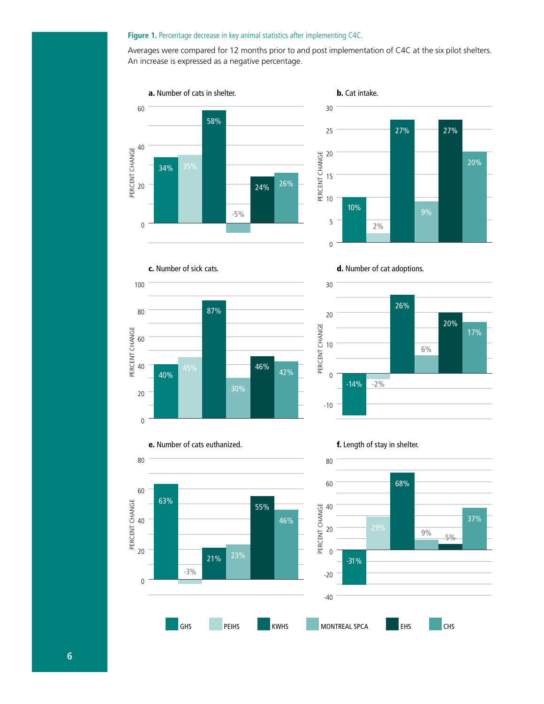#### Figure 1. Percentage decrease in key animal statistics after implementing C4C.

Averages were compared for 12 months prior to and post implementation of C4C at the six pilot shelters. An increase is expressed as a negative percentage.





c. Number of sick cats.



d. Number of cat adoptions.



e. Number of cats euthanized.

PERCENT CHANGE



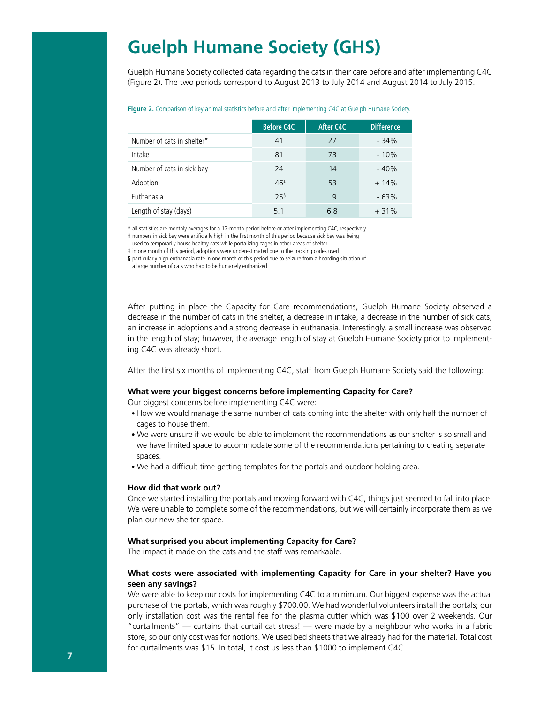### **Guelph Humane Society (GHS)**

Guelph Humane Society collected data regarding the cats in their care before and after implementing C4C (Figure 2). The two periods correspond to August 2013 to July 2014 and August 2014 to July 2015.

|  |  |  | <b>Figure 2.</b> Comparison of key animal statistics before and after implementing C4C at Guelph Humane Society. |
|--|--|--|------------------------------------------------------------------------------------------------------------------|
|  |  |  |                                                                                                                  |

|                            | <b>Before C4C</b> | After C4C | <b>Difference</b> |
|----------------------------|-------------------|-----------|-------------------|
| Number of cats in shelter* | 41                | 27        | $-34%$            |
| Intake                     | 81                | 73        | $-10%$            |
| Number of cats in sick bay | 24                | $14^{+}$  | $-40%$            |
| Adoption                   | $46*$             | 53        | $+14%$            |
| Euthanasia                 | 25 <sup>5</sup>   | 9         | $-63%$            |
| Length of stay (days)      | 5.1               | 6.8       | $+31%$            |

**\*** all statistics are monthly averages for a 12-month period before or after implementing C4C, respectively

**†** numbers in sick bay were artificially high in the first month of this period because sick bay was being

used to temporarily house healthy cats while portalizing cages in other areas of shelter

**‡** in one month of this period, adoptions were underestimated due to the tracking codes used

**§** particularly high euthanasia rate in one month of this period due to seizure from a hoarding situation of

a large number of cats who had to be humanely euthanized

After putting in place the Capacity for Care recommendations, Guelph Humane Society observed a decrease in the number of cats in the shelter, a decrease in intake, a decrease in the number of sick cats, an increase in adoptions and a strong decrease in euthanasia. Interestingly, a small increase was observed in the length of stay; however, the average length of stay at Guelph Humane Society prior to implementing C4C was already short.

After the first six months of implementing C4C, staff from Guelph Humane Society said the following:

#### **What were your biggest concerns before implementing Capacity for Care?**

Our biggest concerns before implementing C4C were:

- How we would manage the same number of cats coming into the shelter with only half the number of cages to house them.
- We were unsure if we would be able to implement the recommendations as our shelter is so small and we have limited space to accommodate some of the recommendations pertaining to creating separate spaces.
- We had a difficult time getting templates for the portals and outdoor holding area.

#### **How did that work out?**

Once we started installing the portals and moving forward with C4C, things just seemed to fall into place. We were unable to complete some of the recommendations, but we will certainly incorporate them as we plan our new shelter space.

#### **What surprised you about implementing Capacity for Care?**

The impact it made on the cats and the staff was remarkable.

#### **What costs were associated with implementing Capacity for Care in your shelter? Have you seen any savings?**

We were able to keep our costs for implementing C4C to a minimum. Our biggest expense was the actual purchase of the portals, which was roughly \$700.00. We had wonderful volunteers install the portals; our only installation cost was the rental fee for the plasma cutter which was \$100 over 2 weekends. Our "curtailments" — curtains that curtail cat stress! — were made by a neighbour who works in a fabric store, so our only cost was for notions. We used bed sheets that we already had for the material. Total cost for curtailments was \$15. In total, it cost us less than \$1000 to implement C4C.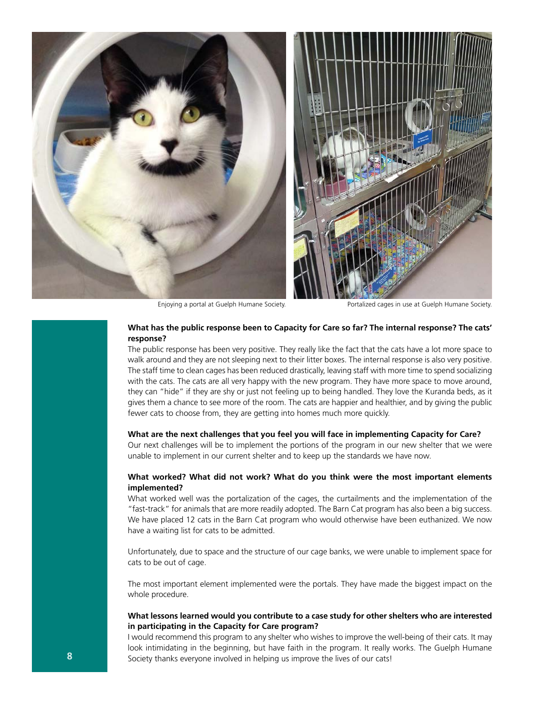

Enjoying a portal at Guelph Humane Society. Portalized cages in use at Guelph Humane Society.

#### **What has the public response been to Capacity for Care so far? The internal response? The cats' response?**

The public response has been very positive. They really like the fact that the cats have a lot more space to walk around and they are not sleeping next to their litter boxes. The internal response is also very positive. The staff time to clean cages has been reduced drastically, leaving staff with more time to spend socializing with the cats. The cats are all very happy with the new program. They have more space to move around, they can "hide" if they are shy or just not feeling up to being handled. They love the Kuranda beds, as it gives them a chance to see more of the room. The cats are happier and healthier, and by giving the public fewer cats to choose from, they are getting into homes much more quickly.

#### **What are the next challenges that you feel you will face in implementing Capacity for Care?**

Our next challenges will be to implement the portions of the program in our new shelter that we were unable to implement in our current shelter and to keep up the standards we have now.

#### **What worked? What did not work? What do you think were the most important elements implemented?**

What worked well was the portalization of the cages, the curtailments and the implementation of the "fast-track" for animals that are more readily adopted. The Barn Cat program has also been a big success. We have placed 12 cats in the Barn Cat program who would otherwise have been euthanized. We now have a waiting list for cats to be admitted.

Unfortunately, due to space and the structure of our cage banks, we were unable to implement space for cats to be out of cage.

The most important element implemented were the portals. They have made the biggest impact on the whole procedure.

#### **What lessons learned would you contribute to a case study for other shelters who are interested in participating in the Capacity for Care program?**

I would recommend this program to any shelter who wishes to improve the well-being of their cats. It may look intimidating in the beginning, but have faith in the program. It really works. The Guelph Humane Society thanks everyone involved in helping us improve the lives of our cats!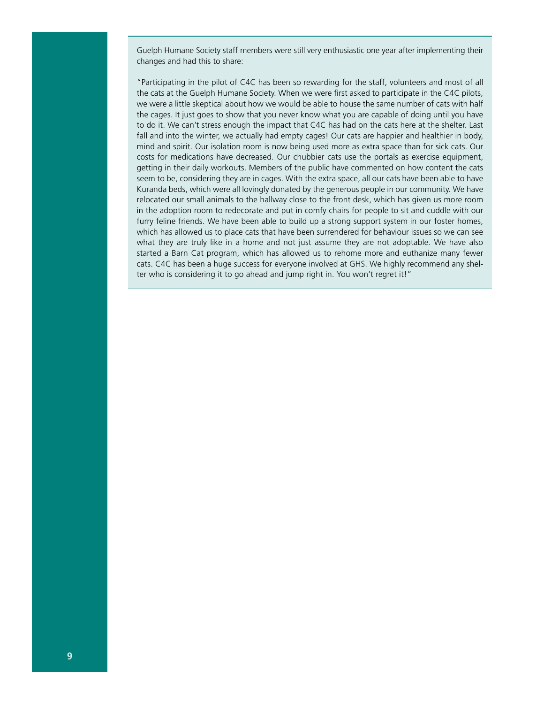Guelph Humane Society staff members were still very enthusiastic one year after implementing their changes and had this to share:

"Participating in the pilot of C4C has been so rewarding for the staff, volunteers and most of all the cats at the Guelph Humane Society. When we were first asked to participate in the C4C pilots, we were a little skeptical about how we would be able to house the same number of cats with half the cages. It just goes to show that you never know what you are capable of doing until you have to do it. We can't stress enough the impact that C4C has had on the cats here at the shelter. Last fall and into the winter, we actually had empty cages! Our cats are happier and healthier in body, mind and spirit. Our isolation room is now being used more as extra space than for sick cats. Our costs for medications have decreased. Our chubbier cats use the portals as exercise equipment, getting in their daily workouts. Members of the public have commented on how content the cats seem to be, considering they are in cages. With the extra space, all our cats have been able to have Kuranda beds, which were all lovingly donated by the generous people in our community. We have relocated our small animals to the hallway close to the front desk, which has given us more room in the adoption room to redecorate and put in comfy chairs for people to sit and cuddle with our furry feline friends. We have been able to build up a strong support system in our foster homes, which has allowed us to place cats that have been surrendered for behaviour issues so we can see what they are truly like in a home and not just assume they are not adoptable. We have also started a Barn Cat program, which has allowed us to rehome more and euthanize many fewer cats. C4C has been a huge success for everyone involved at GHS. We highly recommend any shelter who is considering it to go ahead and jump right in. You won't regret it!"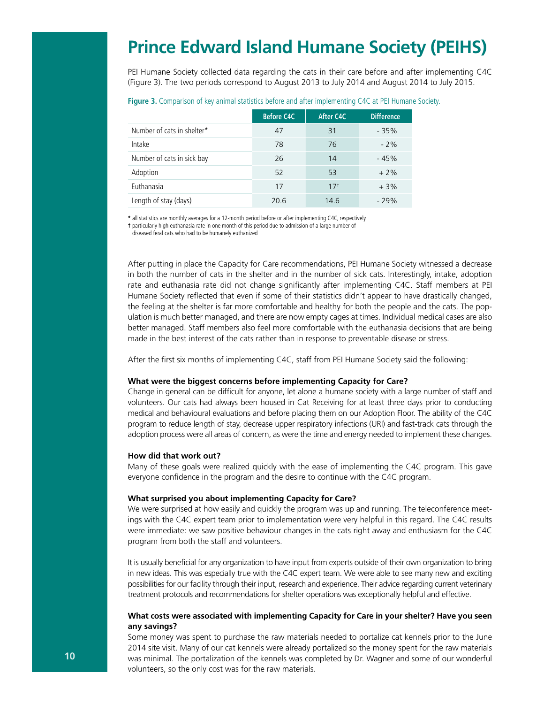### **Prince Edward Island Humane Society (PEIHS)**

PEI Humane Society collected data regarding the cats in their care before and after implementing C4C (Figure 3). The two periods correspond to August 2013 to July 2014 and August 2014 to July 2015.

|                            | <b>Before C4C</b> | After C4C | <b>Difference</b> |
|----------------------------|-------------------|-----------|-------------------|
| Number of cats in shelter* | 47                | 31        | $-35%$            |
| Intake                     | 78                | 76        | $-2\%$            |
| Number of cats in sick bay | 26                | 14        | $-45%$            |
| Adoption                   | 52                | 53        | $+2\%$            |
| Euthanasia                 | 17                | $17^{+}$  | $+3%$             |
| Length of stay (days)      | 20.6              | 14.6      | $-29%$            |

#### **Figure 3.** Comparison of key animal statistics before and after implementing C4C at PEI Humane Society.

**\*** all statistics are monthly averages for a 12-month period before or after implementing C4C, respectively

**†** particularly high euthanasia rate in one month of this period due to admission of a large number of

diseased feral cats who had to be humanely euthanized

After putting in place the Capacity for Care recommendations, PEI Humane Society witnessed a decrease in both the number of cats in the shelter and in the number of sick cats. Interestingly, intake, adoption rate and euthanasia rate did not change significantly after implementing C4C. Staff members at PEI Humane Society reflected that even if some of their statistics didn't appear to have drastically changed, the feeling at the shelter is far more comfortable and healthy for both the people and the cats. The population is much better managed, and there are now empty cages at times. Individual medical cases are also better managed. Staff members also feel more comfortable with the euthanasia decisions that are being made in the best interest of the cats rather than in response to preventable disease or stress.

After the first six months of implementing C4C, staff from PEI Humane Society said the following:

#### **What were the biggest concerns before implementing Capacity for Care?**

Change in general can be difficult for anyone, let alone a humane society with a large number of staff and volunteers. Our cats had always been housed in Cat Receiving for at least three days prior to conducting medical and behavioural evaluations and before placing them on our Adoption Floor. The ability of the C4C program to reduce length of stay, decrease upper respiratory infections (URI) and fast-track cats through the adoption process were all areas of concern, as were the time and energy needed to implement these changes.

#### **How did that work out?**

Many of these goals were realized quickly with the ease of implementing the C4C program. This gave everyone confidence in the program and the desire to continue with the C4C program.

#### **What surprised you about implementing Capacity for Care?**

We were surprised at how easily and quickly the program was up and running. The teleconference meetings with the C4C expert team prior to implementation were very helpful in this regard. The C4C results were immediate: we saw positive behaviour changes in the cats right away and enthusiasm for the C4C program from both the staff and volunteers.

It is usually beneficial for any organization to have input from experts outside of their own organization to bring in new ideas. This was especially true with the C4C expert team. We were able to see many new and exciting possibilities for our facility through their input, research and experience. Their advice regarding current veterinary treatment protocols and recommendations for shelter operations was exceptionally helpful and effective.

#### **What costs were associated with implementing Capacity for Care in your shelter? Have you seen any savings?**

Some money was spent to purchase the raw materials needed to portalize cat kennels prior to the June 2014 site visit. Many of our cat kennels were already portalized so the money spent for the raw materials was minimal. The portalization of the kennels was completed by Dr. Wagner and some of our wonderful volunteers, so the only cost was for the raw materials.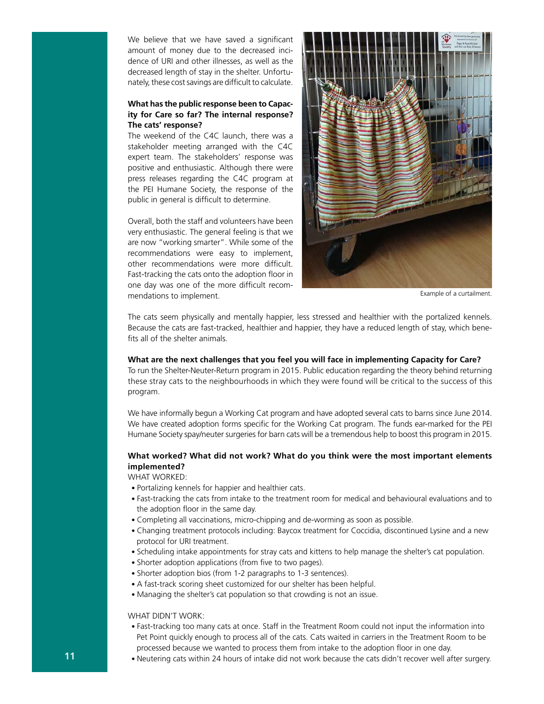We believe that we have saved a significant amount of money due to the decreased incidence of URI and other illnesses, as well as the decreased length of stay in the shelter. Unfortunately, these cost savings are difficult to calculate.

#### **What has the public response been to Capacity for Care so far? The internal response? The cats' response?**

The weekend of the C4C launch, there was a stakeholder meeting arranged with the C4C expert team. The stakeholders' response was positive and enthusiastic. Although there were press releases regarding the C4C program at the PEI Humane Society, the response of the public in general is difficult to determine.

Overall, both the staff and volunteers have been very enthusiastic. The general feeling is that we are now "working smarter". While some of the recommendations were easy to implement, other recommendations were more difficult. Fast-tracking the cats onto the adoption floor in one day was one of the more difficult recommendations to implement.



Example of a curtailment.

The cats seem physically and mentally happier, less stressed and healthier with the portalized kennels. Because the cats are fast-tracked, healthier and happier, they have a reduced length of stay, which benefits all of the shelter animals.

#### **What are the next challenges that you feel you will face in implementing Capacity for Care?**

To run the Shelter-Neuter-Return program in 2015. Public education regarding the theory behind returning these stray cats to the neighbourhoods in which they were found will be critical to the success of this program.

We have informally begun a Working Cat program and have adopted several cats to barns since June 2014. We have created adoption forms specific for the Working Cat program. The funds ear-marked for the PEI Humane Society spay/neuter surgeries for barn cats will be a tremendous help to boost this program in 2015.

#### **What worked? What did not work? What do you think were the most important elements implemented?**

WHAT WORKED:

- Portalizing kennels for happier and healthier cats.
- Fast-tracking the cats from intake to the treatment room for medical and behavioural evaluations and to the adoption floor in the same day.
- Completing all vaccinations, micro-chipping and de-worming as soon as possible.
- Changing treatment protocols including: Baycox treatment for Coccidia, discontinued Lysine and a new protocol for URI treatment.
- Scheduling intake appointments for stray cats and kittens to help manage the shelter's cat population.
- Shorter adoption applications (from five to two pages).
- Shorter adoption bios (from 1-2 paragraphs to 1-3 sentences).
- A fast-track scoring sheet customized for our shelter has been helpful.
- Managing the shelter's cat population so that crowding is not an issue.

#### WHAT DIDN'T WORK:

- Fast-tracking too many cats at once. Staff in the Treatment Room could not input the information into Pet Point quickly enough to process all of the cats. Cats waited in carriers in the Treatment Room to be processed because we wanted to process them from intake to the adoption floor in one day.
- Neutering cats within 24 hours of intake did not work because the cats didn't recover well after surgery.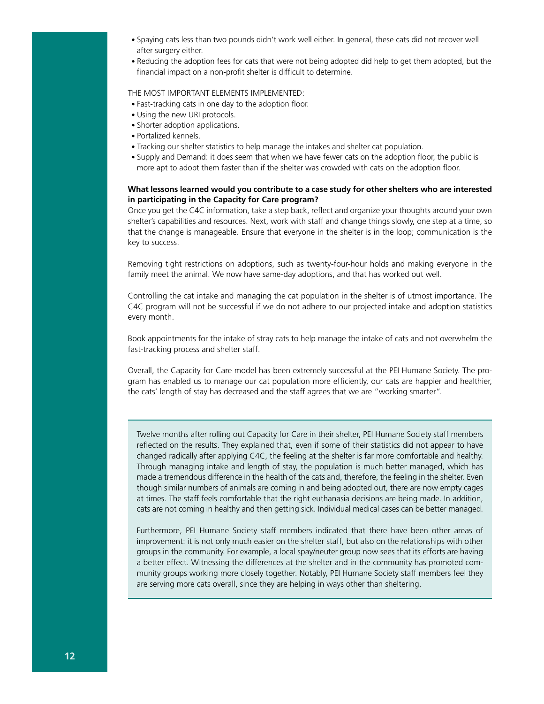- Spaying cats less than two pounds didn't work well either. In general, these cats did not recover well after surgery either.
- Reducing the adoption fees for cats that were not being adopted did help to get them adopted, but the financial impact on a non-profit shelter is difficult to determine.

#### THE MOST IMPORTANT ELEMENTS IMPLEMENTED:

- Fast-tracking cats in one day to the adoption floor.
- Using the new URI protocols.
- Shorter adoption applications.
- Portalized kennels.
- Tracking our shelter statistics to help manage the intakes and shelter cat population.
- Supply and Demand: it does seem that when we have fewer cats on the adoption floor, the public is more apt to adopt them faster than if the shelter was crowded with cats on the adoption floor.

#### **What lessons learned would you contribute to a case study for other shelters who are interested in participating in the Capacity for Care program?**

Once you get the C4C information, take a step back, reflect and organize your thoughts around your own shelter's capabilities and resources. Next, work with staff and change things slowly, one step at a time, so that the change is manageable. Ensure that everyone in the shelter is in the loop; communication is the key to success.

Removing tight restrictions on adoptions, such as twenty-four-hour holds and making everyone in the family meet the animal. We now have same-day adoptions, and that has worked out well.

Controlling the cat intake and managing the cat population in the shelter is of utmost importance. The C4C program will not be successful if we do not adhere to our projected intake and adoption statistics every month.

Book appointments for the intake of stray cats to help manage the intake of cats and not overwhelm the fast-tracking process and shelter staff.

Overall, the Capacity for Care model has been extremely successful at the PEI Humane Society. The program has enabled us to manage our cat population more efficiently, our cats are happier and healthier, the cats' length of stay has decreased and the staff agrees that we are "working smarter".

Twelve months after rolling out Capacity for Care in their shelter, PEI Humane Society staff members reflected on the results. They explained that, even if some of their statistics did not appear to have changed radically after applying C4C, the feeling at the shelter is far more comfortable and healthy. Through managing intake and length of stay, the population is much better managed, which has made a tremendous difference in the health of the cats and, therefore, the feeling in the shelter. Even though similar numbers of animals are coming in and being adopted out, there are now empty cages at times. The staff feels comfortable that the right euthanasia decisions are being made. In addition, cats are not coming in healthy and then getting sick. Individual medical cases can be better managed.

Furthermore, PEI Humane Society staff members indicated that there have been other areas of improvement: it is not only much easier on the shelter staff, but also on the relationships with other groups in the community. For example, a local spay/neuter group now sees that its efforts are having a better effect. Witnessing the differences at the shelter and in the community has promoted community groups working more closely together. Notably, PEI Humane Society staff members feel they are serving more cats overall, since they are helping in ways other than sheltering.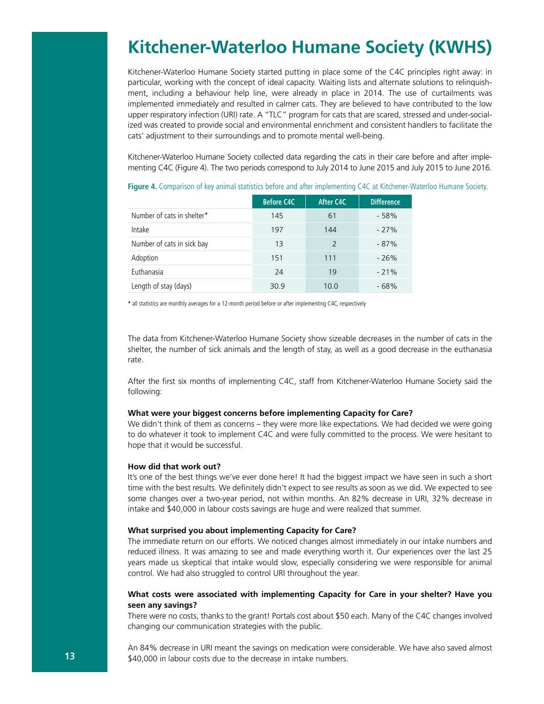### **Kitchener-Waterloo Humane Society (KWHS)**

Kitchener-Waterloo Humane Society started putting in place some of the C4C principles right away: in particular, working with the concept of ideal capacity. Waiting lists and alternate solutions to relinquishment, including a behaviour help line, were already in place in 2014. The use of curtailments was implemented immediately and resulted in calmer cats. They are believed to have contributed to the low upper respiratory infection (URI) rate. A "TLC" program for cats that are scared, stressed and under-socialized was created to provide social and environmental enrichment and consistent handlers to facilitate the cats' adjustment to their surroundings and to promote mental well-being.

Kitchener-Waterloo Humane Society collected data regarding the cats in their care before and after implementing C4C (Figure 4). The two periods correspond to July 2014 to June 2015 and July 2015 to June 2016.

|                            | <b>Before C4C</b> | After C4C     | <b>Difference</b> |
|----------------------------|-------------------|---------------|-------------------|
| Number of cats in shelter* | 145               | 61            | $-58%$            |
| Intake                     | 197               | 144           | $-27%$            |
| Number of cats in sick bay | 13                | $\mathcal{L}$ | $-87%$            |
| Adoption                   | 151               | 111           | $-26%$            |
| Euthanasia                 | 24                | 19            | $-21%$            |
| Length of stay (days)      | 30.9              | 10.0          | - 68%             |

**Figure 4.** Comparison of key animal statistics before and after implementing C4C at Kitchener-Waterloo Humane Society.

**\*** all statistics are monthly averages for a 12-month period before or after implementing C4C, respectively

The data from Kitchener-Waterloo Humane Society show sizeable decreases in the number of cats in the shelter, the number of sick animals and the length of stay, as well as a good decrease in the euthanasia rate.

After the first six months of implementing C4C, staff from Kitchener-Waterloo Humane Society said the following:

#### **What were your biggest concerns before implementing Capacity for Care?**

We didn't think of them as concerns – they were more like expectations. We had decided we were going to do whatever it took to implement C4C and were fully committed to the process. We were hesitant to hope that it would be successful.

#### **How did that work out?**

It's one of the best things we've ever done here! It had the biggest impact we have seen in such a short time with the best results. We definitely didn't expect to see results as soon as we did. We expected to see some changes over a two-year period, not within months. An 82% decrease in URI, 32% decrease in intake and \$40,000 in labour costs savings are huge and were realized that summer.

#### **What surprised you about implementing Capacity for Care?**

The immediate return on our efforts. We noticed changes almost immediately in our intake numbers and reduced illness. It was amazing to see and made everything worth it. Our experiences over the last 25 years made us skeptical that intake would slow, especially considering we were responsible for animal control. We had also struggled to control URI throughout the year.

#### **What costs were associated with implementing Capacity for Care in your shelter? Have you seen any savings?**

There were no costs, thanks to the grant! Portals cost about \$50 each. Many of the C4C changes involved changing our communication strategies with the public.

An 84% decrease in URI meant the savings on medication were considerable. We have also saved almost \$40,000 in labour costs due to the decrease in intake numbers.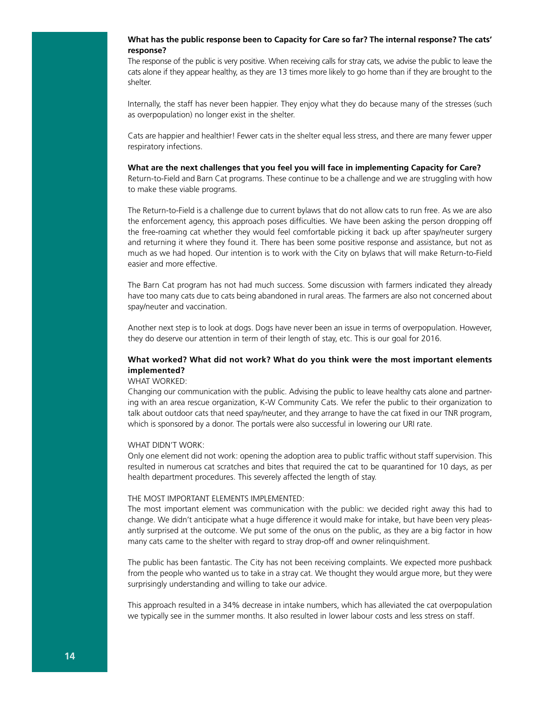#### **What has the public response been to Capacity for Care so far? The internal response? The cats' response?**

The response of the public is very positive. When receiving calls for stray cats, we advise the public to leave the cats alone if they appear healthy, as they are 13 times more likely to go home than if they are brought to the shelter.

Internally, the staff has never been happier. They enjoy what they do because many of the stresses (such as overpopulation) no longer exist in the shelter.

Cats are happier and healthier! Fewer cats in the shelter equal less stress, and there are many fewer upper respiratory infections.

#### **What are the next challenges that you feel you will face in implementing Capacity for Care?**

Return-to-Field and Barn Cat programs. These continue to be a challenge and we are struggling with how to make these viable programs.

The Return-to-Field is a challenge due to current bylaws that do not allow cats to run free. As we are also the enforcement agency, this approach poses difficulties. We have been asking the person dropping off the free-roaming cat whether they would feel comfortable picking it back up after spay/neuter surgery and returning it where they found it. There has been some positive response and assistance, but not as much as we had hoped. Our intention is to work with the City on bylaws that will make Return-to-Field easier and more effective.

The Barn Cat program has not had much success. Some discussion with farmers indicated they already have too many cats due to cats being abandoned in rural areas. The farmers are also not concerned about spay/neuter and vaccination.

Another next step is to look at dogs. Dogs have never been an issue in terms of overpopulation. However, they do deserve our attention in term of their length of stay, etc. This is our goal for 2016.

#### **What worked? What did not work? What do you think were the most important elements implemented?**

#### WHAT WORKED:

Changing our communication with the public. Advising the public to leave healthy cats alone and partnering with an area rescue organization, K-W Community Cats. We refer the public to their organization to talk about outdoor cats that need spay/neuter, and they arrange to have the cat fixed in our TNR program, which is sponsored by a donor. The portals were also successful in lowering our URI rate.

#### WHAT DIDN'T WORK:

Only one element did not work: opening the adoption area to public traffic without staff supervision. This resulted in numerous cat scratches and bites that required the cat to be quarantined for 10 days, as per health department procedures. This severely affected the length of stay.

#### THE MOST IMPORTANT ELEMENTS IMPLEMENTED:

The most important element was communication with the public: we decided right away this had to change. We didn't anticipate what a huge difference it would make for intake, but have been very pleasantly surprised at the outcome. We put some of the onus on the public, as they are a big factor in how many cats came to the shelter with regard to stray drop-off and owner relinquishment.

The public has been fantastic. The City has not been receiving complaints. We expected more pushback from the people who wanted us to take in a stray cat. We thought they would argue more, but they were surprisingly understanding and willing to take our advice.

This approach resulted in a 34% decrease in intake numbers, which has alleviated the cat overpopulation we typically see in the summer months. It also resulted in lower labour costs and less stress on staff.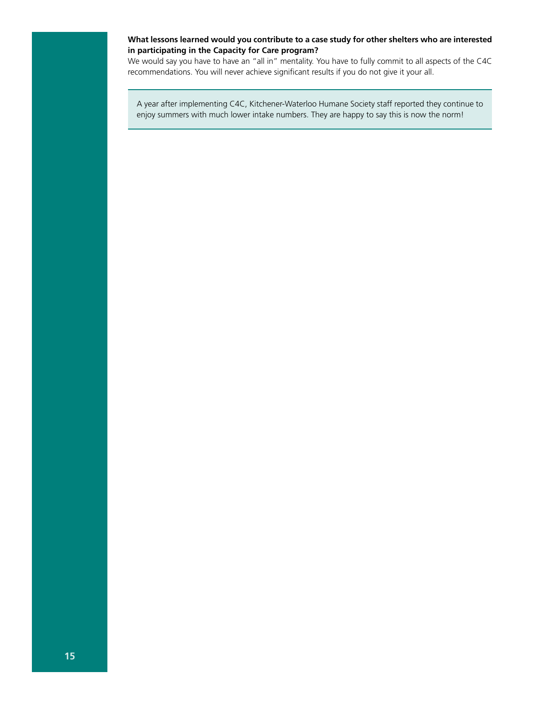#### **What lessons learned would you contribute to a case study for other shelters who are interested in participating in the Capacity for Care program?**

We would say you have to have an "all in" mentality. You have to fully commit to all aspects of the C4C recommendations. You will never achieve significant results if you do not give it your all.

A year after implementing C4C, Kitchener-Waterloo Humane Society staff reported they continue to enjoy summers with much lower intake numbers. They are happy to say this is now the norm!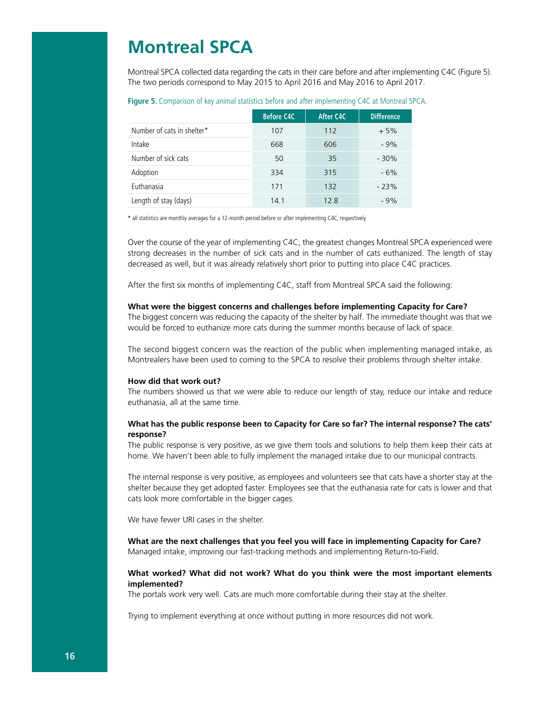### **Montreal SPCA**

Montreal SPCA collected data regarding the cats in their care before and after implementing C4C (Figure 5). The two periods correspond to May 2015 to April 2016 and May 2016 to April 2017.

|  |  | <b>Figure 5.</b> Comparison of key animal statistics before and after implementing C4C at Montreal SPCA. |  |  |  |  |  |  |
|--|--|----------------------------------------------------------------------------------------------------------|--|--|--|--|--|--|
|  |  |                                                                                                          |  |  |  |  |  |  |

|                            | <b>Before C4C</b> | After C4C | <b>Difference</b> |
|----------------------------|-------------------|-----------|-------------------|
| Number of cats in shelter* | 107               | 112       | $+5%$             |
| Intake                     | 668               | 606       | $-9%$             |
| Number of sick cats        | 50                | 35        | $-30%$            |
| Adoption                   | 334               | 315       | $-6%$             |
| Euthanasia                 | 171               | 132       | $-23%$            |
| Length of stay (days)      | 14.1              | 12.8      | $-9%$             |

**\*** all statistics are monthly averages for a 12-month period before or after implementing C4C, respectively

Over the course of the year of implementing C4C, the greatest changes Montreal SPCA experienced were strong decreases in the number of sick cats and in the number of cats euthanized. The length of stay decreased as well, but it was already relatively short prior to putting into place C4C practices.

After the first six months of implementing C4C, staff from Montreal SPCA said the following:

#### **What were the biggest concerns and challenges before implementing Capacity for Care?**

The biggest concern was reducing the capacity of the shelter by half. The immediate thought was that we would be forced to euthanize more cats during the summer months because of lack of space.

The second biggest concern was the reaction of the public when implementing managed intake, as Montrealers have been used to coming to the SPCA to resolve their problems through shelter intake.

#### **How did that work out?**

The numbers showed us that we were able to reduce our length of stay, reduce our intake and reduce euthanasia, all at the same time.

#### **What has the public response been to Capacity for Care so far? The internal response? The cats' response?**

The public response is very positive, as we give them tools and solutions to help them keep their cats at home. We haven't been able to fully implement the managed intake due to our municipal contracts.

The internal response is very positive, as employees and volunteers see that cats have a shorter stay at the shelter because they get adopted faster. Employees see that the euthanasia rate for cats is lower and that cats look more comfortable in the bigger cages.

We have fewer URI cases in the shelter.

**What are the next challenges that you feel you will face in implementing Capacity for Care?** Managed intake, improving our fast-tracking methods and implementing Return-to-Field.

#### **What worked? What did not work? What do you think were the most important elements implemented?**

The portals work very well. Cats are much more comfortable during their stay at the shelter.

Trying to implement everything at once without putting in more resources did not work.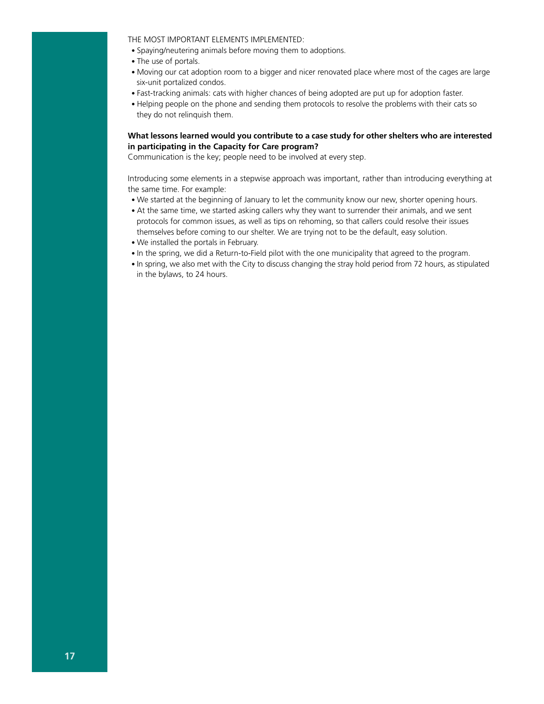THE MOST IMPORTANT ELEMENTS IMPLEMENTED:

- Spaying/neutering animals before moving them to adoptions.
- The use of portals.
- Moving our cat adoption room to a bigger and nicer renovated place where most of the cages are large six-unit portalized condos.
- Fast-tracking animals: cats with higher chances of being adopted are put up for adoption faster.
- Helping people on the phone and sending them protocols to resolve the problems with their cats so they do not relinquish them.

#### **What lessons learned would you contribute to a case study for other shelters who are interested in participating in the Capacity for Care program?**

Communication is the key; people need to be involved at every step.

Introducing some elements in a stepwise approach was important, rather than introducing everything at the same time. For example:

- We started at the beginning of January to let the community know our new, shorter opening hours.
- At the same time, we started asking callers why they want to surrender their animals, and we sent protocols for common issues, as well as tips on rehoming, so that callers could resolve their issues themselves before coming to our shelter. We are trying not to be the default, easy solution.
- We installed the portals in February.
- In the spring, we did a Return-to-Field pilot with the one municipality that agreed to the program.
- In spring, we also met with the City to discuss changing the stray hold period from 72 hours, as stipulated in the bylaws, to 24 hours.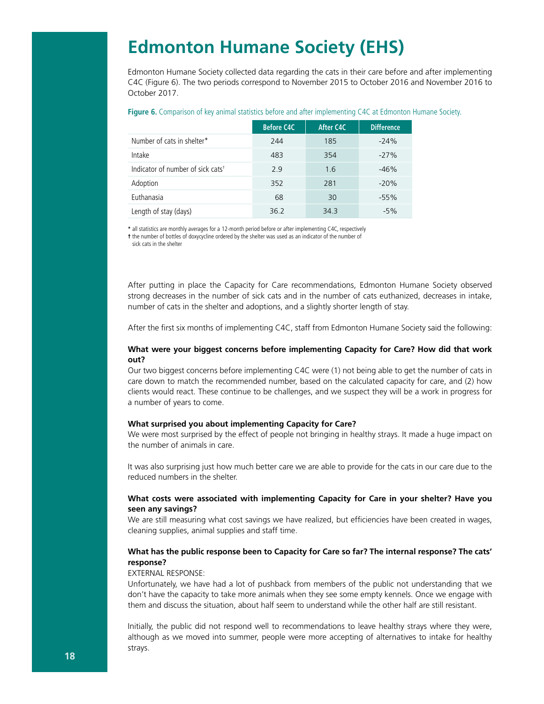### **Edmonton Humane Society (EHS)**

Edmonton Humane Society collected data regarding the cats in their care before and after implementing C4C (Figure 6). The two periods correspond to November 2015 to October 2016 and November 2016 to October 2017.

| <b>Figure 6.</b> Comparison of key animal statistics before and after implementing C4C at Edmonton Humane Society. |  |  |  |  |  |  |  |  |  |  |  |  |
|--------------------------------------------------------------------------------------------------------------------|--|--|--|--|--|--|--|--|--|--|--|--|
|--------------------------------------------------------------------------------------------------------------------|--|--|--|--|--|--|--|--|--|--|--|--|

|                                               | <b>Before C4C</b> | After C4C | <b>Difference</b> |
|-----------------------------------------------|-------------------|-----------|-------------------|
| Number of cats in shelter*                    | 244               | 185       | $-24%$            |
| Intake                                        | 483               | 354       | $-27%$            |
| Indicator of number of sick cats <sup>+</sup> | 29                | 1.6       | $-46%$            |
| Adoption                                      | 352               | 281       | $-20%$            |
| Euthanasia                                    | 68                | 30        | $-55%$            |
| Length of stay (days)                         | 36.2              | 34.3      | $-5%$             |

**\*** all statistics are monthly averages for a 12-month period before or after implementing C4C, respectively

**†** the number of bottles of doxycycline ordered by the shelter was used as an indicator of the number of

sick cats in the shelter

After putting in place the Capacity for Care recommendations, Edmonton Humane Society observed strong decreases in the number of sick cats and in the number of cats euthanized, decreases in intake, number of cats in the shelter and adoptions, and a slightly shorter length of stay.

After the first six months of implementing C4C, staff from Edmonton Humane Society said the following:

#### **What were your biggest concerns before implementing Capacity for Care? How did that work out?**

Our two biggest concerns before implementing C4C were (1) not being able to get the number of cats in care down to match the recommended number, based on the calculated capacity for care, and (2) how clients would react. These continue to be challenges, and we suspect they will be a work in progress for a number of years to come.

#### **What surprised you about implementing Capacity for Care?**

We were most surprised by the effect of people not bringing in healthy strays. It made a huge impact on the number of animals in care.

It was also surprising just how much better care we are able to provide for the cats in our care due to the reduced numbers in the shelter.

#### **What costs were associated with implementing Capacity for Care in your shelter? Have you seen any savings?**

We are still measuring what cost savings we have realized, but efficiencies have been created in wages, cleaning supplies, animal supplies and staff time.

#### **What has the public response been to Capacity for Care so far? The internal response? The cats' response?**

#### EXTERNAL RESPONSE:

Unfortunately, we have had a lot of pushback from members of the public not understanding that we don't have the capacity to take more animals when they see some empty kennels. Once we engage with them and discuss the situation, about half seem to understand while the other half are still resistant.

Initially, the public did not respond well to recommendations to leave healthy strays where they were, although as we moved into summer, people were more accepting of alternatives to intake for healthy strays.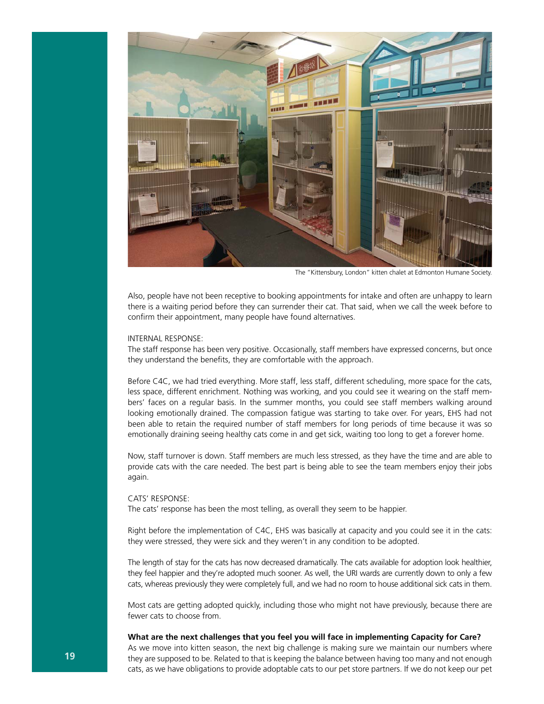

The "Kittensbury, London" kitten chalet at Edmonton Humane Society.

Also, people have not been receptive to booking appointments for intake and often are unhappy to learn there is a waiting period before they can surrender their cat. That said, when we call the week before to confirm their appointment, many people have found alternatives.

#### INTERNAL RESPONSE:

The staff response has been very positive. Occasionally, staff members have expressed concerns, but once they understand the benefits, they are comfortable with the approach.

Before C4C, we had tried everything. More staff, less staff, different scheduling, more space for the cats, less space, different enrichment. Nothing was working, and you could see it wearing on the staff members' faces on a regular basis. In the summer months, you could see staff members walking around looking emotionally drained. The compassion fatigue was starting to take over. For years, EHS had not been able to retain the required number of staff members for long periods of time because it was so emotionally draining seeing healthy cats come in and get sick, waiting too long to get a forever home.

Now, staff turnover is down. Staff members are much less stressed, as they have the time and are able to provide cats with the care needed. The best part is being able to see the team members enjoy their jobs again.

#### CATS' RESPONSE:

The cats' response has been the most telling, as overall they seem to be happier.

Right before the implementation of C4C, EHS was basically at capacity and you could see it in the cats: they were stressed, they were sick and they weren't in any condition to be adopted.

The length of stay for the cats has now decreased dramatically. The cats available for adoption look healthier, they feel happier and they're adopted much sooner. As well, the URI wards are currently down to only a few cats, whereas previously they were completely full, and we had no room to house additional sick cats in them.

Most cats are getting adopted quickly, including those who might not have previously, because there are fewer cats to choose from.

#### **What are the next challenges that you feel you will face in implementing Capacity for Care?**

As we move into kitten season, the next big challenge is making sure we maintain our numbers where they are supposed to be. Related to that is keeping the balance between having too many and not enough cats, as we have obligations to provide adoptable cats to our pet store partners. If we do not keep our pet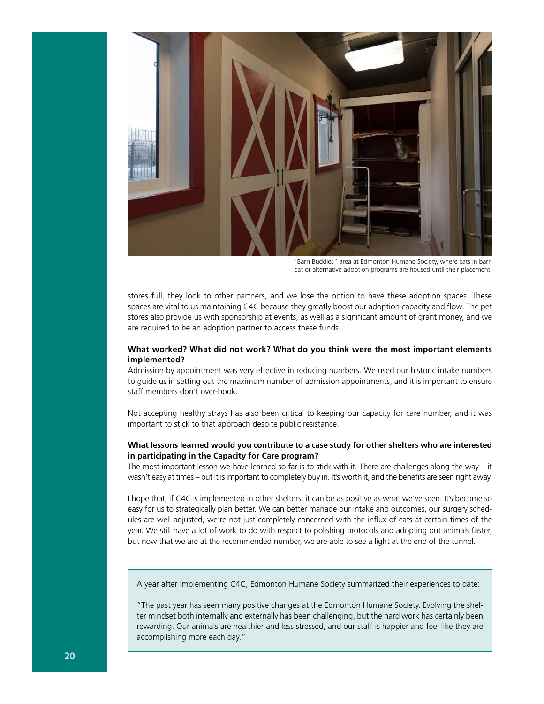

"Barn Buddies" area at Edmonton Humane Society, where cats in barn cat or alternative adoption programs are housed until their placement.

stores full, they look to other partners, and we lose the option to have these adoption spaces. These spaces are vital to us maintaining C4C because they greatly boost our adoption capacity and flow. The pet stores also provide us with sponsorship at events, as well as a significant amount of grant money, and we are required to be an adoption partner to access these funds.

#### **What worked? What did not work? What do you think were the most important elements implemented?**

Admission by appointment was very effective in reducing numbers. We used our historic intake numbers to guide us in setting out the maximum number of admission appointments, and it is important to ensure staff members don't over-book.

Not accepting healthy strays has also been critical to keeping our capacity for care number, and it was important to stick to that approach despite public resistance.

#### **What lessons learned would you contribute to a case study for other shelters who are interested in participating in the Capacity for Care program?**

The most important lesson we have learned so far is to stick with it. There are challenges along the way  $-$  it wasn't easy at times – but it is important to completely buy in. It's worth it, and the benefits are seen right away.

I hope that, if C4C is implemented in other shelters, it can be as positive as what we've seen. It's become so easy for us to strategically plan better. We can better manage our intake and outcomes, our surgery schedules are well-adjusted, we're not just completely concerned with the influx of cats at certain times of the year. We still have a lot of work to do with respect to polishing protocols and adopting out animals faster, but now that we are at the recommended number, we are able to see a light at the end of the tunnel.

A year after implementing C4C, Edmonton Humane Society summarized their experiences to date:

"The past year has seen many positive changes at the Edmonton Humane Society. Evolving the shelter mindset both internally and externally has been challenging, but the hard work has certainly been rewarding. Our animals are healthier and less stressed, and our staff is happier and feel like they are accomplishing more each day."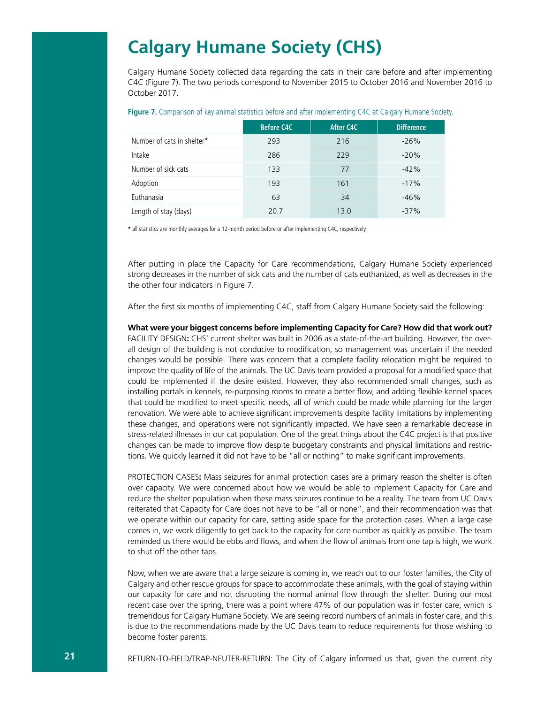### **Calgary Humane Society (CHS)**

Calgary Humane Society collected data regarding the cats in their care before and after implementing C4C (Figure 7). The two periods correspond to November 2015 to October 2016 and November 2016 to October 2017.

|                            | <b>Before C4C</b> | After C4C | <b>Difference</b> |
|----------------------------|-------------------|-----------|-------------------|
| Number of cats in shelter* | 293               | 216       | $-26%$            |
| Intake                     | 286               | 229       | $-20%$            |
| Number of sick cats        | 133               | 77        | $-42%$            |
| Adoption                   | 193               | 161       | $-17%$            |
| Euthanasia                 | 63                | 34        | $-46%$            |
| Length of stay (days)      | 20.7              | 13.0      | $-37%$            |

**Figure 7.** Comparison of key animal statistics before and after implementing C4C at Calgary Humane Society.

**\*** all statistics are monthly averages for a 12-month period before or after implementing C4C, respectively

After putting in place the Capacity for Care recommendations, Calgary Humane Society experienced strong decreases in the number of sick cats and the number of cats euthanized, as well as decreases in the the other four indicators in Figure 7.

After the first six months of implementing C4C, staff from Calgary Humane Society said the following:

#### **What were your biggest concerns before implementing Capacity for Care? How did that work out?**

FACILITY DESIGN**:** CHS' current shelter was built in 2006 as a state-of-the-art building. However, the overall design of the building is not conducive to modification, so management was uncertain if the needed changes would be possible. There was concern that a complete facility relocation might be required to improve the quality of life of the animals. The UC Davis team provided a proposal for a modified space that could be implemented if the desire existed. However, they also recommended small changes, such as installing portals in kennels, re-purposing rooms to create a better flow, and adding flexible kennel spaces that could be modified to meet specific needs, all of which could be made while planning for the larger renovation. We were able to achieve significant improvements despite facility limitations by implementing these changes, and operations were not significantly impacted. We have seen a remarkable decrease in stress-related illnesses in our cat population. One of the great things about the C4C project is that positive changes can be made to improve flow despite budgetary constraints and physical limitations and restrictions. We quickly learned it did not have to be "all or nothing" to make significant improvements.

PROTECTION CASES**:** Mass seizures for animal protection cases are a primary reason the shelter is often over capacity. We were concerned about how we would be able to implement Capacity for Care and reduce the shelter population when these mass seizures continue to be a reality. The team from UC Davis reiterated that Capacity for Care does not have to be "all or none", and their recommendation was that we operate within our capacity for care, setting aside space for the protection cases. When a large case comes in, we work diligently to get back to the capacity for care number as quickly as possible. The team reminded us there would be ebbs and flows, and when the flow of animals from one tap is high, we work to shut off the other taps.

Now, when we are aware that a large seizure is coming in, we reach out to our foster families, the City of Calgary and other rescue groups for space to accommodate these animals, with the goal of staying within our capacity for care and not disrupting the normal animal flow through the shelter. During our most recent case over the spring, there was a point where 47% of our population was in foster care, which is tremendous for Calgary Humane Society. We are seeing record numbers of animals in foster care, and this is due to the recommendations made by the UC Davis team to reduce requirements for those wishing to become foster parents.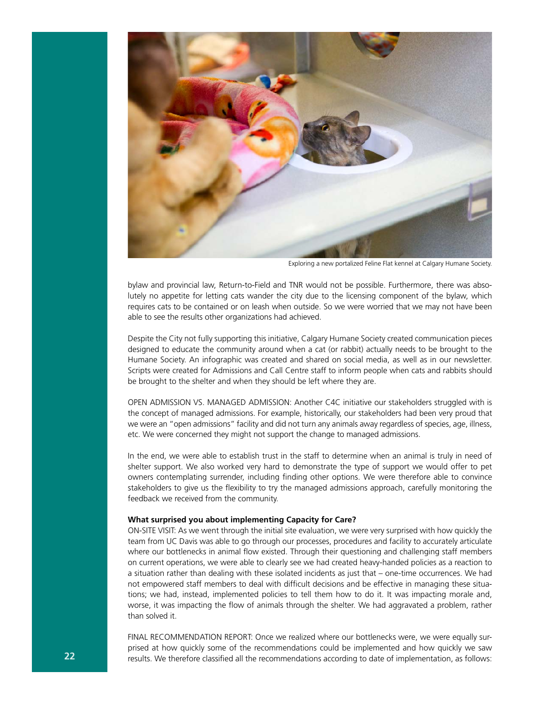

Exploring a new portalized Feline Flat kennel at Calgary Humane Society.

bylaw and provincial law, Return-to-Field and TNR would not be possible. Furthermore, there was absolutely no appetite for letting cats wander the city due to the licensing component of the bylaw, which requires cats to be contained or on leash when outside. So we were worried that we may not have been able to see the results other organizations had achieved.

Despite the City not fully supporting this initiative, Calgary Humane Society created communication pieces designed to educate the community around when a cat (or rabbit) actually needs to be brought to the Humane Society. An infographic was created and shared on social media, as well as in our newsletter. Scripts were created for Admissions and Call Centre staff to inform people when cats and rabbits should be brought to the shelter and when they should be left where they are.

OPEN ADMISSION VS. MANAGED ADMISSION: Another C4C initiative our stakeholders struggled with is the concept of managed admissions. For example, historically, our stakeholders had been very proud that we were an "open admissions" facility and did not turn any animals away regardless of species, age, illness, etc. We were concerned they might not support the change to managed admissions.

In the end, we were able to establish trust in the staff to determine when an animal is truly in need of shelter support. We also worked very hard to demonstrate the type of support we would offer to pet owners contemplating surrender, including finding other options. We were therefore able to convince stakeholders to give us the flexibility to try the managed admissions approach, carefully monitoring the feedback we received from the community.

#### **What surprised you about implementing Capacity for Care?**

ON-SITE VISIT: As we went through the initial site evaluation, we were very surprised with how quickly the team from UC Davis was able to go through our processes, procedures and facility to accurately articulate where our bottlenecks in animal flow existed. Through their questioning and challenging staff members on current operations, we were able to clearly see we had created heavy-handed policies as a reaction to a situation rather than dealing with these isolated incidents as just that – one-time occurrences. We had not empowered staff members to deal with difficult decisions and be effective in managing these situations; we had, instead, implemented policies to tell them how to do it. It was impacting morale and, worse, it was impacting the flow of animals through the shelter. We had aggravated a problem, rather than solved it.

FINAL RECOMMENDATION REPORT: Once we realized where our bottlenecks were, we were equally surprised at how quickly some of the recommendations could be implemented and how quickly we saw results. We therefore classified all the recommendations according to date of implementation, as follows: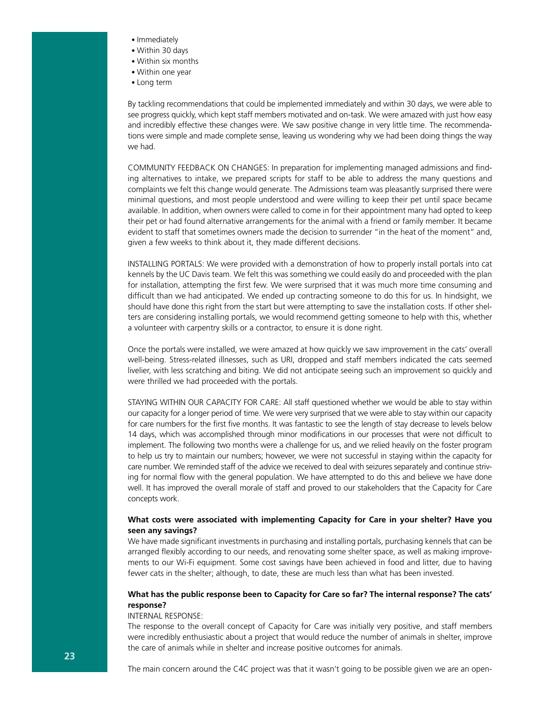- Immediately
- Within 30 days
- Within six months
- Within one year
- Long term

By tackling recommendations that could be implemented immediately and within 30 days, we were able to see progress quickly, which kept staff members motivated and on-task. We were amazed with just how easy and incredibly effective these changes were. We saw positive change in very little time. The recommendations were simple and made complete sense, leaving us wondering why we had been doing things the way we had.

COMMUNITY FEEDBACK ON CHANGES: In preparation for implementing managed admissions and finding alternatives to intake, we prepared scripts for staff to be able to address the many questions and complaints we felt this change would generate. The Admissions team was pleasantly surprised there were minimal questions, and most people understood and were willing to keep their pet until space became available. In addition, when owners were called to come in for their appointment many had opted to keep their pet or had found alternative arrangements for the animal with a friend or family member. It became evident to staff that sometimes owners made the decision to surrender "in the heat of the moment" and, given a few weeks to think about it, they made different decisions.

INSTALLING PORTALS: We were provided with a demonstration of how to properly install portals into cat kennels by the UC Davis team. We felt this was something we could easily do and proceeded with the plan for installation, attempting the first few. We were surprised that it was much more time consuming and difficult than we had anticipated. We ended up contracting someone to do this for us. In hindsight, we should have done this right from the start but were attempting to save the installation costs. If other shelters are considering installing portals, we would recommend getting someone to help with this, whether a volunteer with carpentry skills or a contractor, to ensure it is done right.

Once the portals were installed, we were amazed at how quickly we saw improvement in the cats' overall well-being. Stress-related illnesses, such as URI, dropped and staff members indicated the cats seemed livelier, with less scratching and biting. We did not anticipate seeing such an improvement so quickly and were thrilled we had proceeded with the portals.

STAYING WITHIN OUR CAPACITY FOR CARE: All staff questioned whether we would be able to stay within our capacity for a longer period of time. We were very surprised that we were able to stay within our capacity for care numbers for the first five months. It was fantastic to see the length of stay decrease to levels below 14 days, which was accomplished through minor modifications in our processes that were not difficult to implement. The following two months were a challenge for us, and we relied heavily on the foster program to help us try to maintain our numbers; however, we were not successful in staying within the capacity for care number. We reminded staff of the advice we received to deal with seizures separately and continue striving for normal flow with the general population. We have attempted to do this and believe we have done well. It has improved the overall morale of staff and proved to our stakeholders that the Capacity for Care concepts work.

#### **What costs were associated with implementing Capacity for Care in your shelter? Have you seen any savings?**

We have made significant investments in purchasing and installing portals, purchasing kennels that can be arranged flexibly according to our needs, and renovating some shelter space, as well as making improvements to our Wi-Fi equipment. Some cost savings have been achieved in food and litter, due to having fewer cats in the shelter; although, to date, these are much less than what has been invested.

#### **What has the public response been to Capacity for Care so far? The internal response? The cats' response?**

#### INTERNAL RESPONSE:

The response to the overall concept of Capacity for Care was initially very positive, and staff members were incredibly enthusiastic about a project that would reduce the number of animals in shelter, improve the care of animals while in shelter and increase positive outcomes for animals.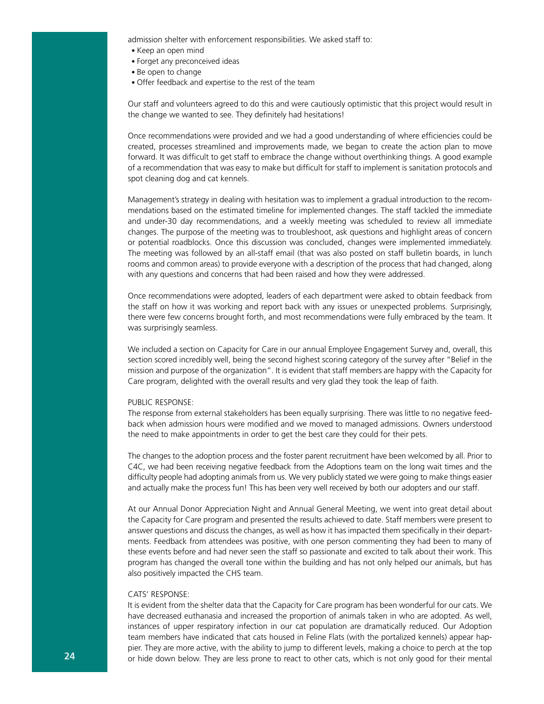admission shelter with enforcement responsibilities. We asked staff to:

- Keep an open mind
- Forget any preconceived ideas
- Be open to change
- Offer feedback and expertise to the rest of the team

Our staff and volunteers agreed to do this and were cautiously optimistic that this project would result in the change we wanted to see. They definitely had hesitations!

Once recommendations were provided and we had a good understanding of where efficiencies could be created, processes streamlined and improvements made, we began to create the action plan to move forward. It was difficult to get staff to embrace the change without overthinking things. A good example of a recommendation that was easy to make but difficult for staff to implement is sanitation protocols and spot cleaning dog and cat kennels.

Management's strategy in dealing with hesitation was to implement a gradual introduction to the recommendations based on the estimated timeline for implemented changes. The staff tackled the immediate and under-30 day recommendations, and a weekly meeting was scheduled to review all immediate changes. The purpose of the meeting was to troubleshoot, ask questions and highlight areas of concern or potential roadblocks. Once this discussion was concluded, changes were implemented immediately. The meeting was followed by an all-staff email (that was also posted on staff bulletin boards, in lunch rooms and common areas) to provide everyone with a description of the process that had changed, along with any questions and concerns that had been raised and how they were addressed.

Once recommendations were adopted, leaders of each department were asked to obtain feedback from the staff on how it was working and report back with any issues or unexpected problems. Surprisingly, there were few concerns brought forth, and most recommendations were fully embraced by the team. It was surprisingly seamless.

We included a section on Capacity for Care in our annual Employee Engagement Survey and, overall, this section scored incredibly well, being the second highest scoring category of the survey after "Belief in the mission and purpose of the organization". It is evident that staff members are happy with the Capacity for Care program, delighted with the overall results and very glad they took the leap of faith.

#### PUBLIC RESPONSE:

The response from external stakeholders has been equally surprising. There was little to no negative feedback when admission hours were modified and we moved to managed admissions. Owners understood the need to make appointments in order to get the best care they could for their pets.

The changes to the adoption process and the foster parent recruitment have been welcomed by all. Prior to C4C, we had been receiving negative feedback from the Adoptions team on the long wait times and the difficulty people had adopting animals from us. We very publicly stated we were going to make things easier and actually make the process fun! This has been very well received by both our adopters and our staff.

At our Annual Donor Appreciation Night and Annual General Meeting, we went into great detail about the Capacity for Care program and presented the results achieved to date. Staff members were present to answer questions and discuss the changes, as well as how it has impacted them specifically in their departments. Feedback from attendees was positive, with one person commenting they had been to many of these events before and had never seen the staff so passionate and excited to talk about their work. This program has changed the overall tone within the building and has not only helped our animals, but has also positively impacted the CHS team.

#### CATS' RESPONSE:

It is evident from the shelter data that the Capacity for Care program has been wonderful for our cats. We have decreased euthanasia and increased the proportion of animals taken in who are adopted. As well, instances of upper respiratory infection in our cat population are dramatically reduced. Our Adoption team members have indicated that cats housed in Feline Flats (with the portalized kennels) appear happier. They are more active, with the ability to jump to different levels, making a choice to perch at the top or hide down below. They are less prone to react to other cats, which is not only good for their mental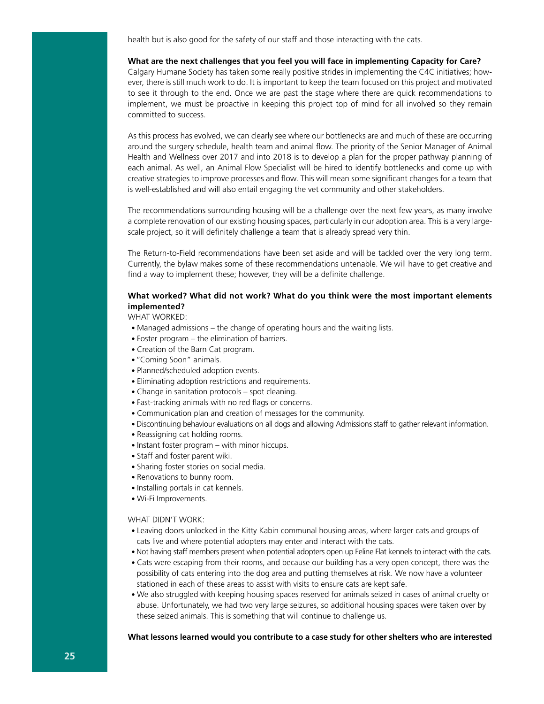health but is also good for the safety of our staff and those interacting with the cats.

#### **What are the next challenges that you feel you will face in implementing Capacity for Care?**

Calgary Humane Society has taken some really positive strides in implementing the C4C initiatives; however, there is still much work to do. It is important to keep the team focused on this project and motivated to see it through to the end. Once we are past the stage where there are quick recommendations to implement, we must be proactive in keeping this project top of mind for all involved so they remain committed to success.

As this process has evolved, we can clearly see where our bottlenecks are and much of these are occurring around the surgery schedule, health team and animal flow. The priority of the Senior Manager of Animal Health and Wellness over 2017 and into 2018 is to develop a plan for the proper pathway planning of each animal. As well, an Animal Flow Specialist will be hired to identify bottlenecks and come up with creative strategies to improve processes and flow. This will mean some significant changes for a team that is well-established and will also entail engaging the vet community and other stakeholders.

The recommendations surrounding housing will be a challenge over the next few years, as many involve a complete renovation of our existing housing spaces, particularly in our adoption area. This is a very largescale project, so it will definitely challenge a team that is already spread very thin.

The Return-to-Field recommendations have been set aside and will be tackled over the very long term. Currently, the bylaw makes some of these recommendations untenable. We will have to get creative and find a way to implement these; however, they will be a definite challenge.

#### **What worked? What did not work? What do you think were the most important elements implemented?**

#### WHAT WORKED:

- Managed admissions the change of operating hours and the waiting lists.
- Foster program the elimination of barriers.
- Creation of the Barn Cat program.
- "Coming Soon" animals.
- Planned/scheduled adoption events.
- Eliminating adoption restrictions and requirements.
- Change in sanitation protocols spot cleaning.
- Fast-tracking animals with no red flags or concerns.
- Communication plan and creation of messages for the community.
- Discontinuing behaviour evaluations on all dogs and allowing Admissions staff to gather relevant information.
- Reassigning cat holding rooms.
- Instant foster program with minor hiccups.
- Staff and foster parent wiki.
- Sharing foster stories on social media.
- Renovations to bunny room.
- Installing portals in cat kennels.
- Wi-Fi Improvements.

#### WHAT DIDN'T WORK:

- Leaving doors unlocked in the Kitty Kabin communal housing areas, where larger cats and groups of cats live and where potential adopters may enter and interact with the cats.
- Not having staff members present when potential adopters open up Feline Flat kennels to interact with the cats.
- Cats were escaping from their rooms, and because our building has a very open concept, there was the possibility of cats entering into the dog area and putting themselves at risk. We now have a volunteer stationed in each of these areas to assist with visits to ensure cats are kept safe.
- We also struggled with keeping housing spaces reserved for animals seized in cases of animal cruelty or abuse. Unfortunately, we had two very large seizures, so additional housing spaces were taken over by these seized animals. This is something that will continue to challenge us.

#### **What lessons learned would you contribute to a case study for other shelters who are interested**